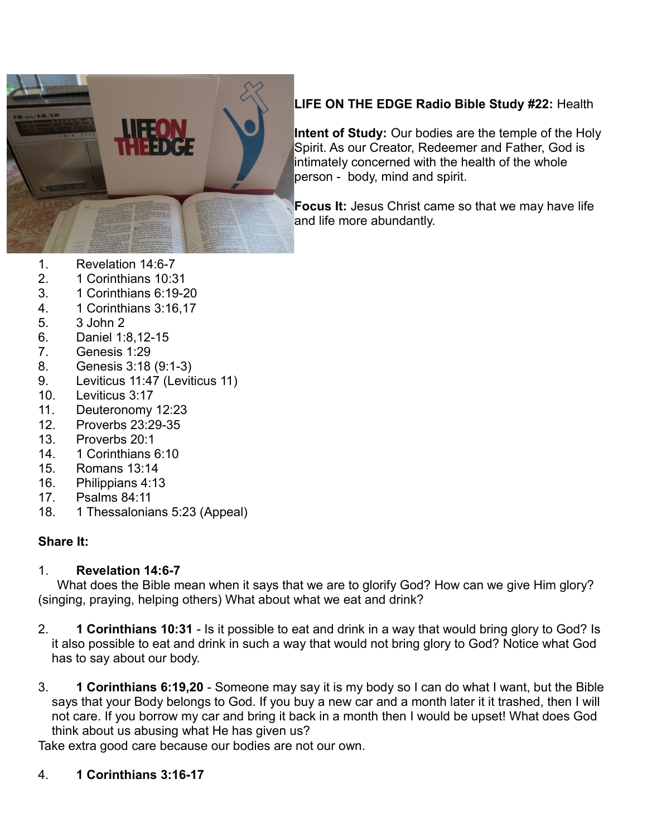

# **LIFE ON THE EDGE Radio Bible Study #22:** Health

**Intent of Study:** Our bodies are the temple of the Holy Spirit. As our Creator, Redeemer and Father, God is intimately concerned with the health of the whole person - body, mind and spirit.

**Focus It:** Jesus Christ came so that we may have life and life more abundantly.

- 1. Revelation 14:6-7
- 2. 1 Corinthians 10:31
- 3. 1 Corinthians 6:19-20
- 4. 1 Corinthians 3:16,17
- 5. 3 John 2
- 6. Daniel 1:8,12-15
- 7. Genesis 1:29
- 8. Genesis 3:18 (9:1-3)
- 9. Leviticus 11:47 (Leviticus 11)
- 10. Leviticus 3:17
- 11. Deuteronomy 12:23
- 12. Proverbs 23:29-35
- 13. Proverbs 20:1
- 14. 1 Corinthians 6:10
- 15. Romans 13:14
- 16. Philippians 4:13
- 17. Psalms 84:11
- 18. 1 Thessalonians 5:23 (Appeal)

### **Share It:**

#### 1. **Revelation 14:6-7**

What does the Bible mean when it says that we are to glorify God? How can we give Him glory? (singing, praying, helping others) What about what we eat and drink?

- 2. **1 Corinthians 10:31** Is it possible to eat and drink in a way that would bring glory to God? Is it also possible to eat and drink in such a way that would not bring glory to God? Notice what God has to say about our body.
- 3. **1 Corinthians 6:19,20** Someone may say it is my body so I can do what I want, but the Bible says that your Body belongs to God. If you buy a new car and a month later it it trashed, then I will not care. If you borrow my car and bring it back in a month then I would be upset! What does God think about us abusing what He has given us?

Take extra good care because our bodies are not our own.

### 4. **1 Corinthians 3:16-17**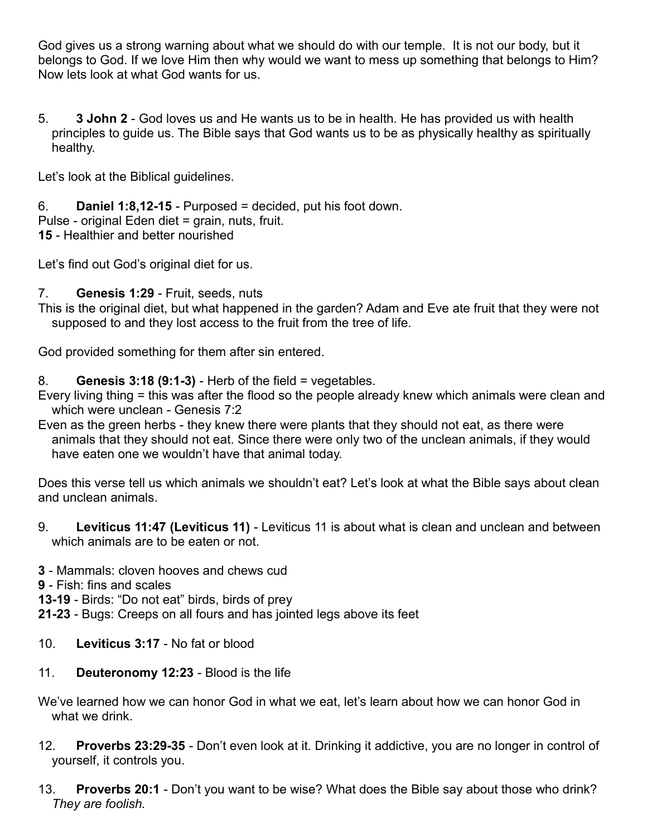God gives us a strong warning about what we should do with our temple. It is not our body, but it belongs to God. If we love Him then why would we want to mess up something that belongs to Him? Now lets look at what God wants for us.

5. **3 John 2** - God loves us and He wants us to be in health. He has provided us with health principles to guide us. The Bible says that God wants us to be as physically healthy as spiritually healthy.

Let's look at the Biblical guidelines.

6. **Daniel 1:8,12-15** - Purposed = decided, put his foot down. Pulse - original Eden diet = grain, nuts, fruit. **15** - Healthier and better nourished

Let's find out God's original diet for us.

## 7. **Genesis 1:29** - Fruit, seeds, nuts

This is the original diet, but what happened in the garden? Adam and Eve ate fruit that they were not supposed to and they lost access to the fruit from the tree of life.

God provided something for them after sin entered.

## 8. **Genesis 3:18 (9:1-3)** - Herb of the field = vegetables.

- Every living thing = this was after the flood so the people already knew which animals were clean and which were unclean - Genesis 7:2
- Even as the green herbs they knew there were plants that they should not eat, as there were animals that they should not eat. Since there were only two of the unclean animals, if they would have eaten one we wouldn't have that animal today.

Does this verse tell us which animals we shouldn't eat? Let's look at what the Bible says about clean and unclean animals.

- 9. **Leviticus 11:47 (Leviticus 11)** Leviticus 11 is about what is clean and unclean and between which animals are to be eaten or not.
- **3** Mammals: cloven hooves and chews cud
- **9** Fish: fins and scales
- **13-19** Birds: "Do not eat" birds, birds of prey
- **21-23** Bugs: Creeps on all fours and has jointed legs above its feet
- 10. **Leviticus 3:17** No fat or blood
- 11. **Deuteronomy 12:23** Blood is the life

We've learned how we can honor God in what we eat, let's learn about how we can honor God in what we drink.

- 12. **Proverbs 23:29-35** Don't even look at it. Drinking it addictive, you are no longer in control of yourself, it controls you.
- 13. **Proverbs 20:1** Don't you want to be wise? What does the Bible say about those who drink? *They are foolish.*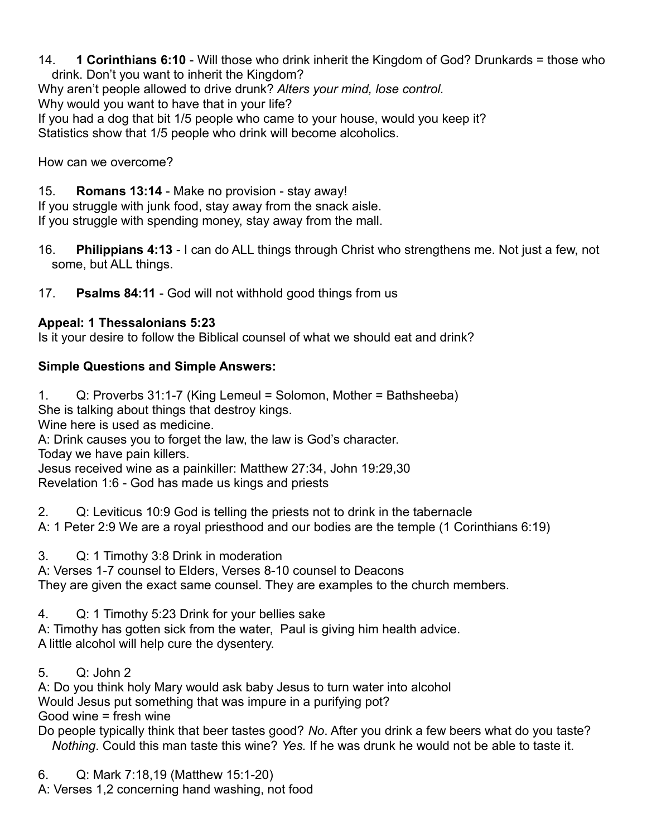14. **1 Corinthians 6:10** - Will those who drink inherit the Kingdom of God? Drunkards = those who drink. Don't you want to inherit the Kingdom? Why aren't people allowed to drive drunk? *Alters your mind, lose control.* Why would you want to have that in your life? If you had a dog that bit 1/5 people who came to your house, would you keep it? Statistics show that 1/5 people who drink will become alcoholics.

How can we overcome?

15. **Romans 13:14** - Make no provision - stay away!

If you struggle with junk food, stay away from the snack aisle. If you struggle with spending money, stay away from the mall.

- 16. **Philippians 4:13** I can do ALL things through Christ who strengthens me. Not just a few, not some, but ALL things.
- 17. **Psalms 84:11** God will not withhold good things from us

#### **Appeal: 1 Thessalonians 5:23**

Is it your desire to follow the Biblical counsel of what we should eat and drink?

#### **Simple Questions and Simple Answers:**

1. Q: Proverbs 31:1-7 (King Lemeul = Solomon, Mother = Bathsheeba)

She is talking about things that destroy kings.

Wine here is used as medicine.

A: Drink causes you to forget the law, the law is God's character.

Today we have pain killers.

Jesus received wine as a painkiller: Matthew 27:34, John 19:29,30 Revelation 1:6 - God has made us kings and priests

2. Q: Leviticus 10:9 God is telling the priests not to drink in the tabernacle A: 1 Peter 2:9 We are a royal priesthood and our bodies are the temple (1 Corinthians 6:19)

3. Q: 1 Timothy 3:8 Drink in moderation

A: Verses 1-7 counsel to Elders, Verses 8-10 counsel to Deacons They are given the exact same counsel. They are examples to the church members.

4. Q: 1 Timothy 5:23 Drink for your bellies sake

A: Timothy has gotten sick from the water, Paul is giving him health advice. A little alcohol will help cure the dysentery.

5. Q: John 2

A: Do you think holy Mary would ask baby Jesus to turn water into alcohol Would Jesus put something that was impure in a purifying pot? Good wine = fresh wine

Do people typically think that beer tastes good? *No*. After you drink a few beers what do you taste? *Nothing*. Could this man taste this wine? *Yes.* If he was drunk he would not be able to taste it.

6. Q: Mark 7:18,19 (Matthew 15:1-20) A: Verses 1,2 concerning hand washing, not food